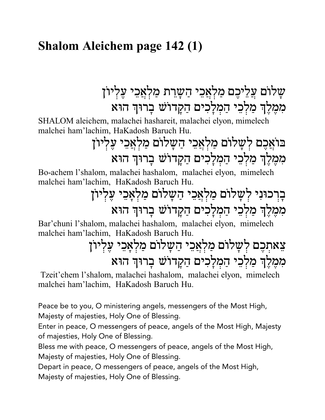### **Shalom Aleichem page 142 (1)**

שַלוֹם עֲלֵיכֵם מַלְאֲכֵי הַשַּׁרֵת מַלְאֲכֵי עֲלְיוֹן מִמֶלֶךְ מַלְכֵי הַמְלַכִים הַקֲדוֹשׁ בַרוּךְ הוּא

SHALOM aleichem, malachei hashareit, malachei elyon, mimelech malchei ham'lachim, HaKadosh Baruch Hu.

# בּוֹאֲכֵם לְשָׁלוֹם מַלְאֲכֵי הַשָּׁלוֹם מַלְאֲכֵי עֵלְיוֹן מִמְלֵךְ מַלְכֵי הַמְלַכִים הַקֲדוֹשׁ בַרוּךְ הוּא

Bo-achem l'shalom, malachei hashalom, malachei elyon, mimelech malchei ham'lachim, HaKadosh Baruch Hu.

## בַרְכוּנִי לְשַׁלוֹם מַלְאֲכֵי הַשַּׂלוֹם מַלְאָכֵי עֵלְיוֹן מִמְלֵךְ מַלְכֵי הַמְלַכִים הַקֲדוֹשׁ בַרוּךְ הוּא

Bar'chuni l'shalom, malachei hashalom, malachei elyon, mimelech malchei ham'lachim, HaKadosh Baruch Hu.

# צֵאתִכֵם לְשַלוֹם מַלְאֲכֵי הַשַּׁלוֹם מַלְאַכֵי עֲלְיוֹן מִמֶלֶךְ מַלְכֵי הַמְלַכִים הַקֲדוֹשׁ בַרוּךְ הוּא

Tzeit'chem l'shalom, malachei hashalom, malachei elyon, mimelech malchei ham'lachim, HaKadosh Baruch Hu.

Peace be to you, O ministering angels, messengers of the Most High, Majesty of majesties, Holy One of Blessing.

Enter in peace, O messengers of peace, angels of the Most High, Majesty of majesties, Holy One of Blessing.

Bless me with peace, O messengers of peace, angels of the Most High, Majesty of majesties, Holy One of Blessing.

Depart in peace, O messengers of peace, angels of the Most High,

Majesty of majesties, Holy One of Blessing.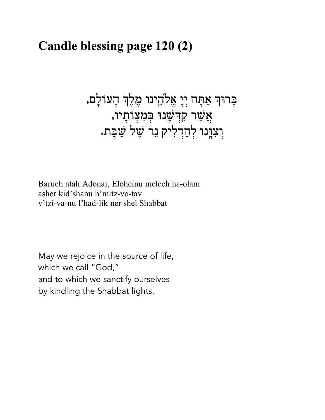### Candle blessing page 120 (2)

בְּרוּךְ אַתָּה יְיָ אֱלֹהֵינוּ מֶלֶךְ הָעוֹלָם, אֲשֶׁר קִדְּשָׂנוּ בְּמִצְוֹתָיו**,** וִצְוָּנוּ לְהַדְלִיק נֵר שֵׁל שַׁבַּת.

Baruch atah Adonai, Eloheinu melech ha-olam asher kid'shanu b'mitz-vo-tav v'tzi-va-nu l'had-lik ner shel Shabbat

May we rejoice in the source of life, which we call "God," and to which we sanctify ourselves by kindling the Shabbat lights.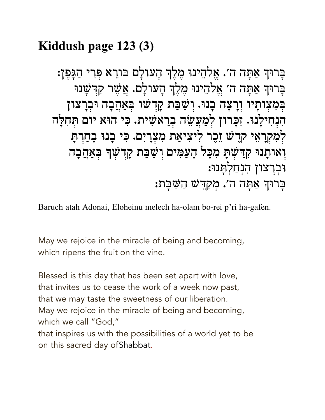### Kiddush page 123 (3)

בָרוּךְ אַתָּה ה׳. אֱלֹהֵינוּ מֵלֵךְ הָעולָם בּורֵא פִּרִי הַגַּפֵן: בַּרוּךְ אַתַּה ה׳ אֱלֹהֵינוּ מֶלֶךְ הָעולַם. אֲשֶׁר קִדְּשָׁנוּ בִּמְצִותָיו וְרָצָה בְנוּ. וִשַּׁבַּת קָדְשׁו בִּאַהֲבָה וּבִרְצון הִנְחִילָנוּ. זִכֲרוּן לְמַעֲשֵׂה בְרֵאשִׁית. כִּי הוּא יום תְּחִלָּה לְמִקְרָאֵי קְדֵשׁ זֶכֵר לִיצִיאַת מִצְרָיִם. כִּי בָנוּ בָחַרִתְּ וְאותָנוּ קִדַּשִׁתָּ מִכָּל הָעַמִּים וְשַׁבַּת קָדְשִׁךְ בִּאַהֲבָה וּבְרַצון הִנְחַלְתַּנוּ: ּבָרוּךְ אַתָּה ה׳. מִקְדִּשׁ הַשַּׁבָּת:

Baruch atah Adonai, Eloheinu melech ha-olam bo-rei p'ri ha-gafen.

May we rejoice in the miracle of being and becoming, which ripens the fruit on the vine.

Blessed is this day that has been set apart with love, that invites us to cease the work of a week now past, that we may taste the sweetness of our liberation. May we rejoice in the miracle of being and becoming, which we call "God," that inspires us with the possibilities of a world yet to be on this sacred day of Shabbat.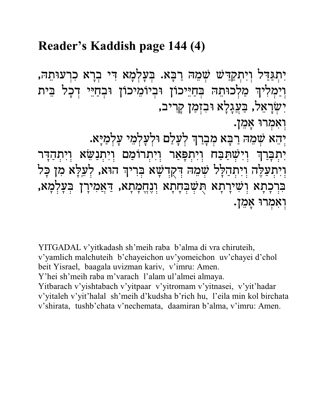### Reader's Kaddish page 144 (4)

יִתְגַּדַל וִיִתְקַדִּשׁ שָׁמֵהּ רַבָּא. בִּעֲלִמָא דִּי בִרָא כִרְעוּתֵהּ, וְיַמְלִיךְ מַלְכוּתֵהּ בִּחַיֵּיכוֹן וּבִיוֹמֵיכוֹן וּבִחַיֵּי דִכָל בֵּית יִשְׂרַאֵל, בַּעֲגַלָא וּבִזְמַן קַרִיב,

וִאָמְרוּ אֲמֵן.

יְהֵא שְׁמֵהּ רַבָּא מִבְרַךְ לִעֲלַם וּלִעַלְמֵי עַלְמַיַּא.

יִתְבָּרַךְ וְיִשְׁתַּבַּח וְיִתְפָּאַר וְיִתְרוֹמַם וְיִתְנַשֵּׂא וְיִתְהַדָּר וִיְתְעַלֶּה וְיִתְהַלָּל שָׁמֵהּ דִּקְדְשָׁא בְּרִיךְ הוּא, לְעֵלָּא מִן כָּל בִּרְכָתָא וִשִׁירָתָא תְּשִׁבִּחָתָא וִנֶחֱמָתָא, דַּאֲמִירָן בִּעֲלִמְא, וְאָמְרוּ אָמֵן.

YITGADAL v'yitkadash sh'meih raba b'alma di vra chiruteih, v'yamlich malchuteih b'chayeichon uv'yomeichon uv'chayei d'chol beit Yisrael, baagala uvizman kariv, v'imru: Amen. Y'hei sh'meih raba m'varach l'alam ul'almei almaya. Yitbarach v'yishtabach v'yitpaar v'yitromam v'yitnasei, v'yit'hadar v'yitaleh v'yit'halal sh'meih d'kudsha b'rich hu, l'eila min kol birchata v'shirata, tushb'chata v'nechemata, daamiran b'alma, v'imru: Amen.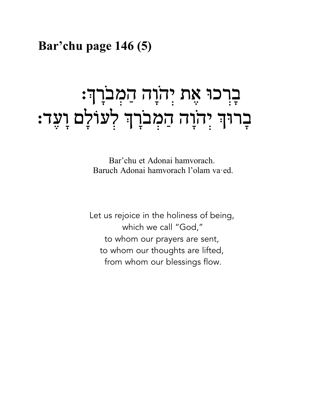### Bar'chu page 146 (5)

# ּבְרְכוּ אֶת יְהֹוָה הַמְבֹרְךָ: ּבָרוּךְ יִהֹוָה הַמִּבֹרָךְ לְעוֹלָם וָעֵד:

Bar'chu et Adonai hamvorach. Baruch Adonai hamvorach l'olam va·ed.

Let us rejoice in the holiness of being, which we call "God," to whom our prayers are sent, to whom our thoughts are lifted, from whom our blessings flow.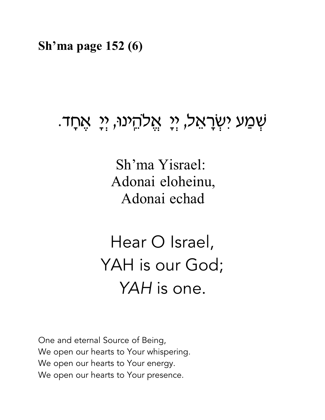Sh'ma page  $152(6)$ 

# שְׁמַע יִשְׂרָאֵל, יִי אֲלְהֵינוּ, יִי אֲחָד.

Sh'ma Yisrael: Adonai eloheinu, Adonai echad

Hear O Israel, YAH is our God: YAH is one.

One and eternal Source of Being, We open our hearts to Your whispering. We open our hearts to Your energy. We open our hearts to Your presence.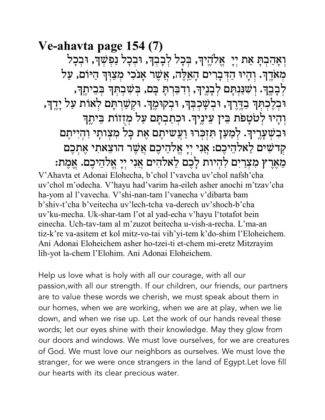Ve-ahavta page 154 (7) וִאֲהַבִתְ אֵת יִיָ אֱלֹהֱיִךְ, בִּכָל לִבְבִךְ, וּבִכָל נַפִּשָּׁךְ, וּבִכָל מִאֹרֶךְ. וְהָיוּ הַדִּבְרִים הָאֵלֶה, אֲשֶׁר אַנֹכִי מִצַוִּךְ הַיּוֹם, עַל לְכָבֶךָ. וְשִׁנַּנְתָּם לְכָנֶיךָ, וְדִבַּרְתָּ בָּם, בְּשִׁכְתְּךָ בְּבִיתֶךְ, וּבְלֶכְתְּךָ בַדֶּרֶךְ, וּבְשָׁכְבְּךָ, וּבִקוּמֶךָ. וּקִשַּׁרִתַּם לְאוֹת עַל יַדֵךּ, וְהָיוּ לְטֹטָפֹת בֵּין עֵינֵיךָ. וּכִתַבְתָּם עַל מִזְזוֹת בֵּיתֵךְ וּבְשִׁעֲרֵיךָ. לְמַעַן תִּזְכִּרוּ וַעֲשִׁיתֵם אֵת כָּל מִצְותָי וְהִיִיתֶם קִדשִׁים לֵאלְהֵיכֵם: אֲנִי יִיָ אֱלֹהֵיכֵם אֲשֶׁר הוצֵאתִי אֲתִכֵם מֵאֶרֶץ מִצְרַיִם לְהִיוּת לָכֶם לֵאלֹהִים אֲנִי יִיָ אֱלֹהֵיכֶם. אֱמֶת: V'Ahavta et Adonai Elohecha, b'chol l'vavcha uv'chol nafsh'cha uv'chol m'odecha. V'hayu had'varim ha-eileh asher anochi m'tzav'cha ha-yom al l'vavecha. V'shi-nan-tam l'vanecha v'dibarta bam b'shiv-t'cha b'yeitecha uy'lech-tcha va-derech uy'shoch-b'cha uv'ku-mecha. Uk-shar-tam l'ot al yad-echa v'hayu l'totafot bein

einecha. Uch-tav-tam al m'zuzot beitecha u-vish-a-recha. L'ma-an tiz-k're va-asitem et kol mitz-vo-tai vih'yi-tem k'do-shim l'Eloheichem. Ani Adonai Eloheichem asher ho-tzei-ti et-chem mi-eretz Mitzrayim lih-yot la-chem l'Elohim. Ani Adonai Eloheichem.

Help us love what is holy with all our courage, with all our passion, with all our strength. If our children, our friends, our partners are to value these words we cherish, we must speak about them in our homes, when we are working, when we are at play, when we lie down, and when we rise up. Let the work of our hands reveal these words; let our eyes shine with their knowledge. May they glow from our doors and windows. We must love ourselves, for we are creatures of God. We must love our neighbors as ourselves. We must love the stranger, for we were once strangers in the land of Egypt. Let love fill our hearts with its clear precious water.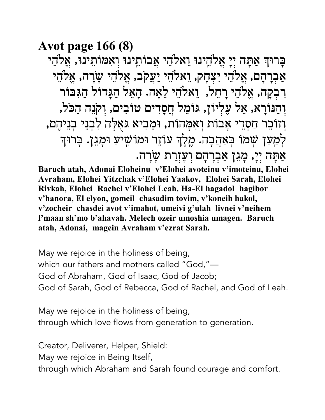**Avot page 166 (8)** 

בַרוּךְ אַתַּה יִיַ אֱלֹהֵינוּ וֵאלֹהֵי אֲבוֹתֵינוּ וְאִמּוֹתֵינוּ, אֵלֹהֵי אַבְרַהַם, אֱלֹהֵי יִצְחַק, וֵאלֹהֵי יַעֲקֹב, אֱלֹהֵי שַׂרֲה, אֱלֹהֵי רִבְקַה, אֱלֹהֶי רַחֵל, וֵאלֹהֶי לֵאֲה. הַאֲל הַגֲדוֹל הַגִּבּוֹר וְהַנּוֹרַא, אֵל עֵלְיוֹן, גּוֹמֵל חֲסַדִים טוֹבִים, וְקֹנֵה הַכֹּל, וְזוֹכֵר חַסְדֵי אָבוֹת וְאִמָּהוֹת, וּמֵבִיא גּאָלָה לְבִנֵי בְנֵיהֶם, לְמַעַן שִׁמוֹ בִּאַהֲבָה. מֵלֵךְ עוֹזֵר וּמוֹשֵׁיעַ וּמָגֵן. בַּרוּךְ אַתָּה יִיָ, מָגֵן אַבְרָהָם וִעֲזִרַת שַׂרַה.

Baruch atah, Adonai Eloheinu v'Elohei avoteinu v'imoteinu, Elohei Avraham, Elohei Yitzchak v'Elohei Yaakov, Elohei Sarah, Elohei Rivkah, Elohei Rachel v'Elohei Leah. Ha-El hagadol hagibor v'hanora, El elvon, gomeil chasadim tovim, v'koneih hakol, v'zocheir chasdei avot v'imahot, umeivi g'ulah livnei v'neihem l'maan sh'mo b'ahavah. Melech ozeir umoshia umagen. Baruch atah, Adonai, magein Avraham v'ezrat Sarah.

May we rejoice in the holiness of being, which our fathers and mothers called "God,"-God of Abraham, God of Isaac, God of Jacob; God of Sarah, God of Rebecca, God of Rachel, and God of Leah.

May we rejoice in the holiness of being, through which love flows from generation to generation.

Creator, Deliverer, Helper, Shield: May we rejoice in Being Itself, through which Abraham and Sarah found courage and comfort.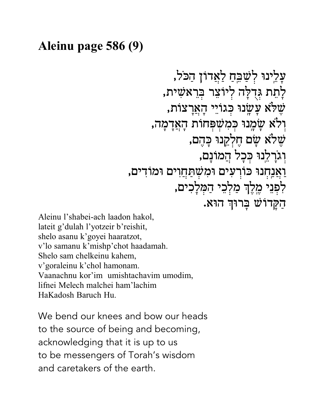### Aleinu page 586 (9)

Aleinu l'shabei-ach laadon hakol, lateit g'dulah l'yotzeir b'reishit, shelo asanu k'goyei haaratzot, v'lo samanu k'mishp'chot haadamah. Shelo sam chelkeinu kahem, v'goraleinu k'chol hamonam. Vaanachnu kor'im umishtachavim umodim, lifnei Melech malchei ham'lachim HaKadosh Baruch Hu.

We bend our knees and bow our heads to the source of being and becoming, acknowledging that it is up to us to be messengers of Torah's wisdom and caretakers of the earth.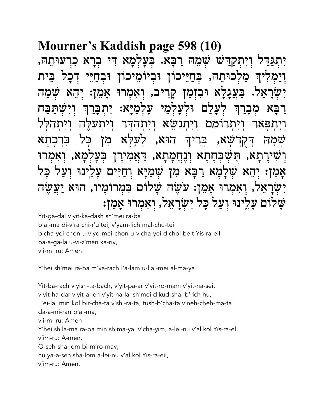### Mourner's Kaddish page 598 (10)

יְתְגַּדֵּל וְיְתְקַדַּשׁׁ שָׁמֶהּ רַבָּא. בִּעֲלְמַא דִּי בְרַא כִרְעוּתָהּ, ַ מַלְכוּתֵהּ, בְּחַיֵּיכוֹן וּבְיוֹמֵיכוֹן וּבְחַיֵּי בית דכל וימליה בעגלא וּבזמן קַרִיב, וְאָמְרוּ אמן: שמה וּלִעלמי :עלמיא תכח לעלם מבו ויתנשׂא ויתהדר ומם קה לעלא הוא. ,XU בו מז וִשִּׁירַתָא, תִּשִּׁבִּחָתָא וְנֶחֱמְתָא, דַּאֲמִירָן בעלמא, ואמרו אָמֵן: יְהָא שָׁלָמָא רַבָּא מִן שִׁמַיַּא וִחַיִּים עַלֵינוּ וִעַל יִשְׂרָאֵל, וְאִמְרוּ אֲמֵן: עֹשֵׂה שַׁלוֹם בִּמְרוֹמַיו, הוּא יַעֲשֵׂה שַׁלוֹם עַלֵינוּ וְעַל כַּל יְשָׂרַאֵל, וְאַמְרוּ אַמֵן:

Yit-ga-dal v'yit-ka-dash sh'mei ra-ba b'al-ma di-v'ra chi-r'u'tei, v'yam-lich mal-chu-tei b'cha-yei-chon u-v'yo-mei-chon u-v'cha-yei d'chol beit Yis-ra-eil, ba-a-ga-la u-vi-z'man ka-riv, v'i-m' ru: Amen.

Y'hei sh'mei ra-ba m'va-rach l'a-lam u-l'al-mei al-ma-ya.

Yit-ba-rach v'yish-ta-bach, v'yit-pa-ar v'yit-ro-mam v'yit-na-sei, v'yit-ha-dar v'yit-a-leh v'yit-ha-lal sh'mei d'kud-sha, b'rich hu, L'ei-la min kol bir-cha-ta v'shi-ra-ta, tush-b'cha-ta v'neh-cheh-ma-ta da-a-mi-ran b'al-ma. v'i-m' ru: Amen. Y'hei sh'la-ma ra-ba min sh'ma-ya v'cha-yim, a-lei-nu v'al kol Yis-ra-el, v'im-ru: A-men. O-seh sha-lom bi-m'ro-mav, hu ya-a-seh sha-lom a-lei-nu v'al kol Yis-ra-eil,

v'im-ru: Amen.